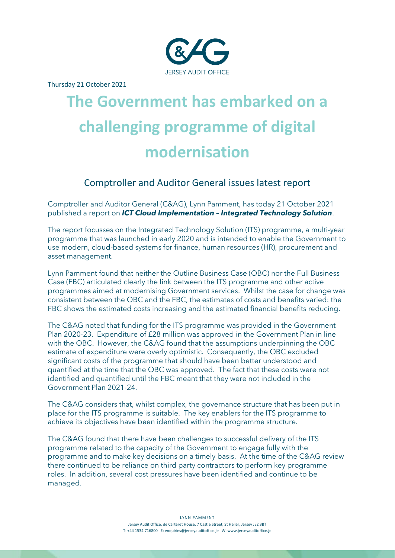

Thursday 21 October 2021

# **The Government has embarked on a challenging programme of digital modernisation**

## Comptroller and Auditor General issues latest report

Comptroller and Auditor General (C&AG), Lynn Pamment, has today 21 October 2021 published a report on *ICT Cloud Implementation – Integrated Technology Solution*.

The report focusses on the Integrated Technology Solution (ITS) programme, a multi-year programme that was launched in early 2020 and is intended to enable the Government to use modern, cloud-based systems for finance, human resources (HR), procurement and asset management.

Lynn Pamment found that neither the Outline Business Case (OBC) nor the Full Business Case (FBC) articulated clearly the link between the ITS programme and other active programmes aimed at modernising Government services. Whilst the case for change was consistent between the OBC and the FBC, the estimates of costs and benefits varied: the FBC shows the estimated costs increasing and the estimated financial benefits reducing.

The C&AG noted that funding for the ITS programme was provided in the Government Plan 2020-23. Expenditure of £28 million was approved in the Government Plan in line with the OBC. However, the C&AG found that the assumptions underpinning the OBC estimate of expenditure were overly optimistic. Consequently, the OBC excluded significant costs of the programme that should have been better understood and quantified at the time that the OBC was approved. The fact that these costs were not identified and quantified until the FBC meant that they were not included in the Government Plan 2021-24.

The C&AG considers that, whilst complex, the governance structure that has been put in place for the ITS programme is suitable. The key enablers for the ITS programme to achieve its objectives have been identified within the programme structure.

The C&AG found that there have been challenges to successful delivery of the ITS programme related to the capacity of the Government to engage fully with the programme and to make key decisions on a timely basis. At the time of the C&AG review there continued to be reliance on third party contractors to perform key programme roles. In addition, several cost pressures have been identified and continue to be managed.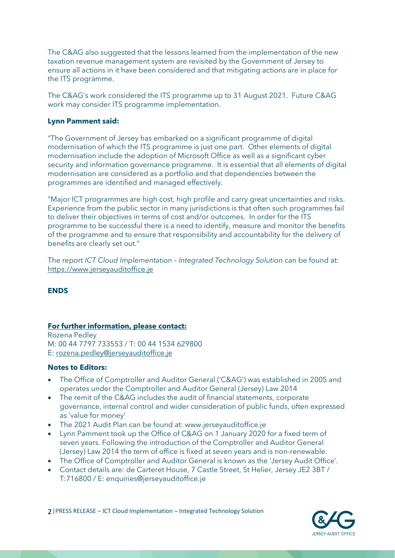The C&AG also suggested that the lessons learned from the implementation of the new taxation revenue management system are revisited by the Government of Jersey to ensure all actions in it have been considered and that mitigating actions are in place for the ITS programme.

The C&AG's work considered the ITS programme up to 31 August 2021. Future C&AG work may consider ITS programme implementation.

#### **Lynn Pamment said:**

"The Government of Jersey has embarked on a significant programme of digital modernisation of which the ITS programme is just one part. Other elements of digital modernisation include the adoption of Microsoft Office as well as a significant cyber security and information governance programme. It is essential that all elements of digital modernisation are considered as a portfolio and that dependencies between the programmes are identified and managed effectively.

"Major ICT programmes are high cost, high profile and carry great uncertainties and risks. Experience from the public sector in many jurisdictions is that often such programmes fail to deliver their objectives in terms of cost and/or outcomes. In order for the ITS programme to be successful there is a need to identify, measure and monitor the benefits of the programme and to ensure that responsibility and accountability for the delivery of benefits are clearly set out."

The report *ICT Cloud Implementation – Integrated Technology Solution* can be found at: [https://www.jerseyauditoffice.je](https://www.jerseyauditoffice.je/)

#### **ENDS**

#### **For further information, please contact:**

Rozena Pedley M: 00 44 7797 733553 / T: 00 44 1534 629800 E: [rozena.pedley@jerseyauditoffice.je](mailto:rozena.pedley@jerseyauditoffice.je)

#### **Notes to Editors:**

- The Office of Comptroller and Auditor General ('C&AG') was established in 2005 and operates under the Comptroller and Auditor General (Jersey) Law 2014
- The remit of the C&AG includes the audit of financial statements, corporate governance, internal control and wider consideration of public funds, often expressed as 'value for money'
- The 2021 Audit Plan can be found at: www.jerseyauditoffice.je
- Lynn Pamment took up the Office of C&AG on 1 January 2020 for a fixed term of seven years. Following the introduction of the Comptroller and Auditor General (Jersey) Law 2014 the term of office is fixed at seven years and is non-renewable.
- The Office of Comptroller and Auditor General is known as the 'Jersey Audit Office'.
- Contact details are: de Carteret House, 7 Castle Street, St Helier, Jersey JE2 3BT / T:716800 / E: enquiries@jerseyauditoffice.je

2|PRESS RELEASE – ICT Cloud Implementation – Integrated Technology Solution